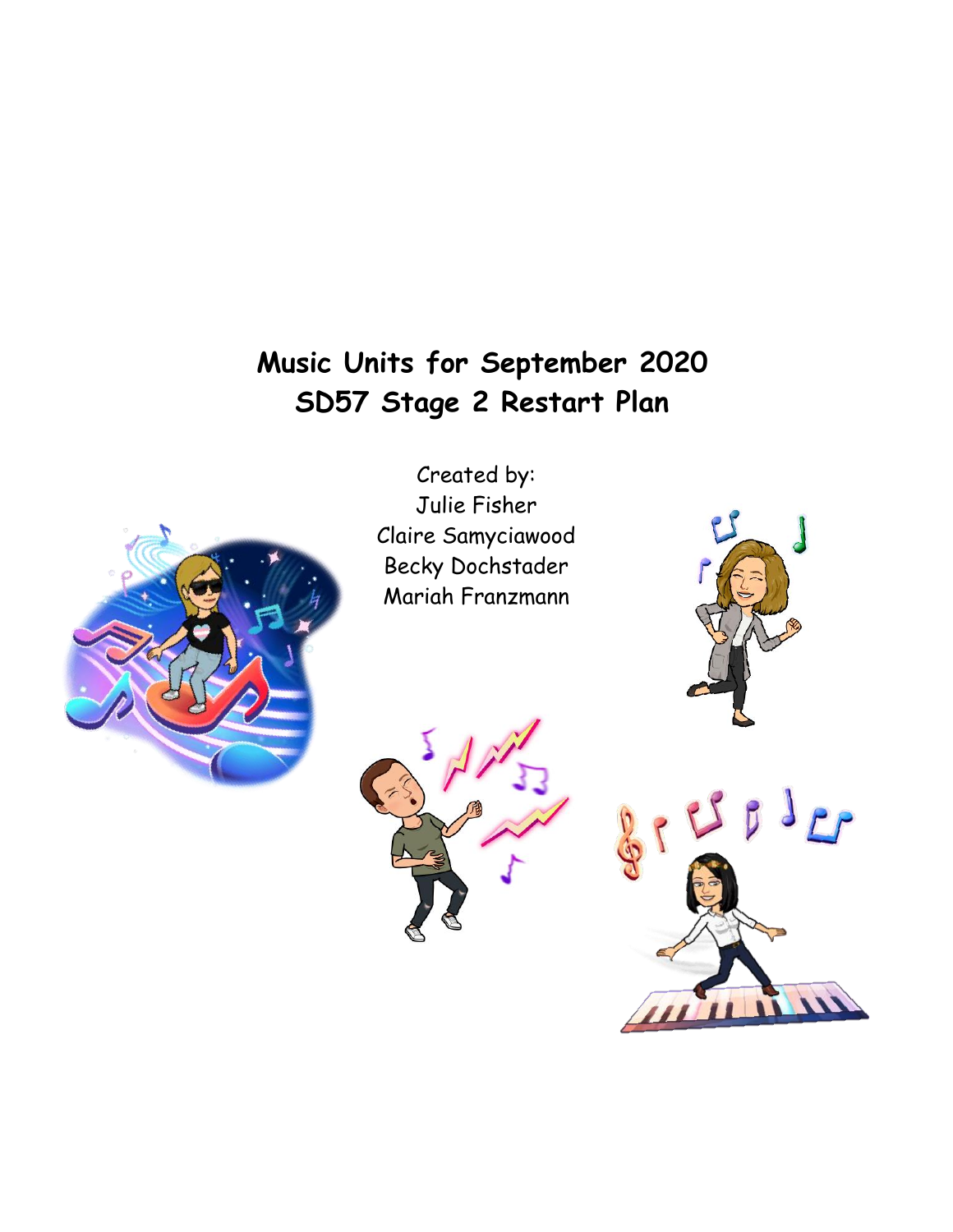# **Music Units for September 2020 SD57 Stage 2 Restart Plan**



Created by: Julie Fisher Claire Samyciawood Becky Dochstader Mariah Franzmann





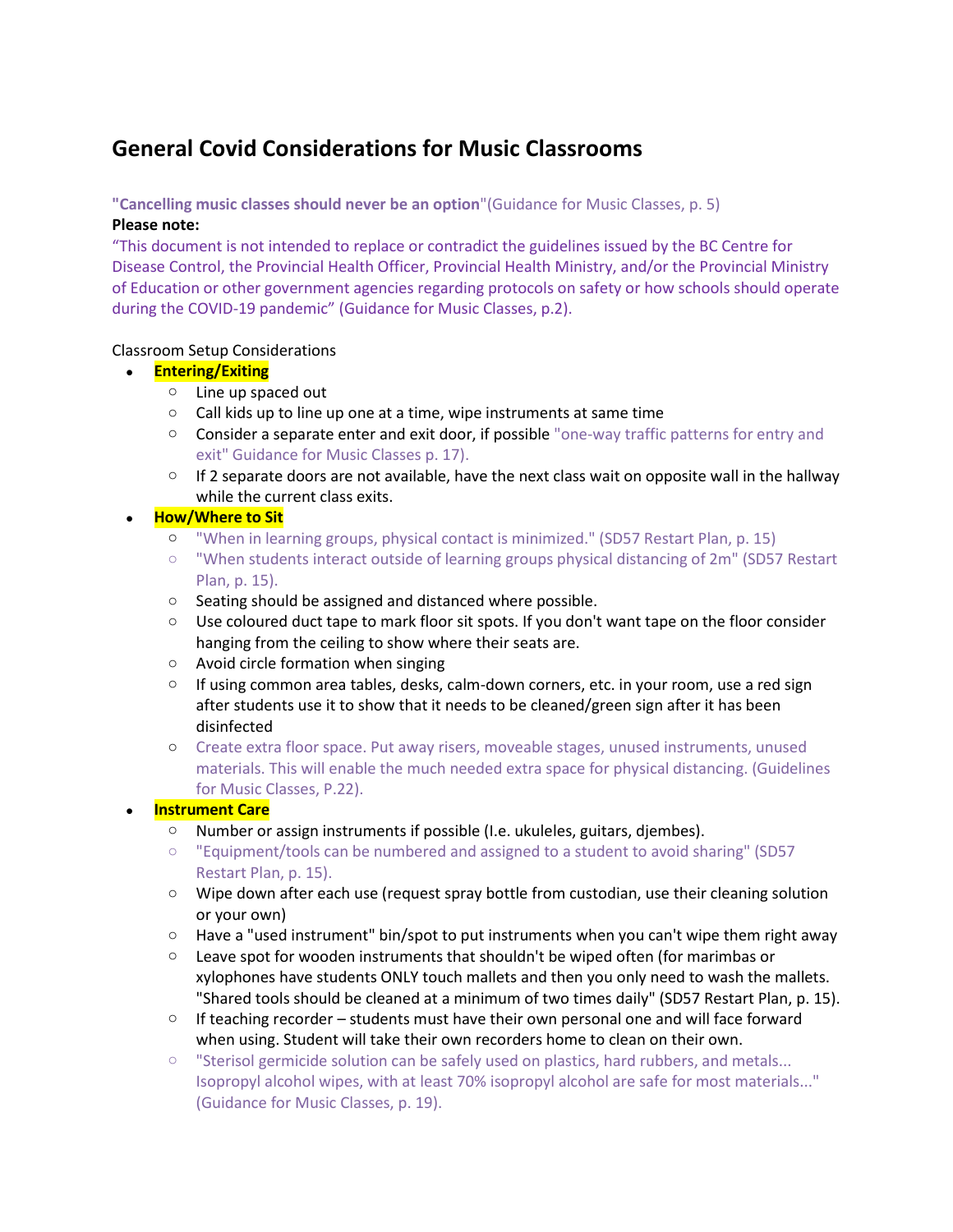# **General Covid Considerations for Music Classrooms**

#### **"Cancelling music classes should never be an option**"(Guidance for Music Classes, p. 5) **Please note:**

"This document is not intended to replace or contradict the guidelines issued by the BC Centre for Disease Control, the Provincial Health Officer, Provincial Health Ministry, and/or the Provincial Ministry of Education or other government agencies regarding protocols on safety or how schools should operate during the COVID-19 pandemic" (Guidance for Music Classes, p.2).

#### Classroom Setup Considerations

- **Entering/Exiting**
	- o Line up spaced out
	- $\circ$  Call kids up to line up one at a time, wipe instruments at same time
	- o Consider a separate enter and exit door, if possible "one-way traffic patterns for entry and exit" Guidance for Music Classes p. 17).
	- $\circ$  If 2 separate doors are not available, have the next class wait on opposite wall in the hallway while the current class exits.

#### **How/Where to Sit**

- o "When in learning groups, physical contact is minimized." (SD57 Restart Plan, p. 15)
- o "When students interact outside of learning groups physical distancing of 2m" (SD57 Restart Plan, p. 15).
- o Seating should be assigned and distanced where possible.
- $\circ$  Use coloured duct tape to mark floor sit spots. If you don't want tape on the floor consider hanging from the ceiling to show where their seats are.
- o Avoid circle formation when singing
- o If using common area tables, desks, calm-down corners, etc. in your room, use a red sign after students use it to show that it needs to be cleaned/green sign after it has been disinfected
- o Create extra floor space. Put away risers, moveable stages, unused instruments, unused materials. This will enable the much needed extra space for physical distancing. (Guidelines for Music Classes, P.22).

#### **Instrument Care**

- o Number or assign instruments if possible (I.e. ukuleles, guitars, djembes).
- o "Equipment/tools can be numbered and assigned to a student to avoid sharing" (SD57 Restart Plan, p. 15).
- o Wipe down after each use (request spray bottle from custodian, use their cleaning solution or your own)
- $\circ$  Have a "used instrument" bin/spot to put instruments when you can't wipe them right away
- $\circ$  Leave spot for wooden instruments that shouldn't be wiped often (for marimbas or xylophones have students ONLY touch mallets and then you only need to wash the mallets. "Shared tools should be cleaned at a minimum of two times daily" (SD57 Restart Plan, p. 15).
- $\circ$  If teaching recorder students must have their own personal one and will face forward when using. Student will take their own recorders home to clean on their own.
- o "Sterisol germicide solution can be safely used on plastics, hard rubbers, and metals... Isopropyl alcohol wipes, with at least 70% isopropyl alcohol are safe for most materials..." (Guidance for Music Classes, p. 19).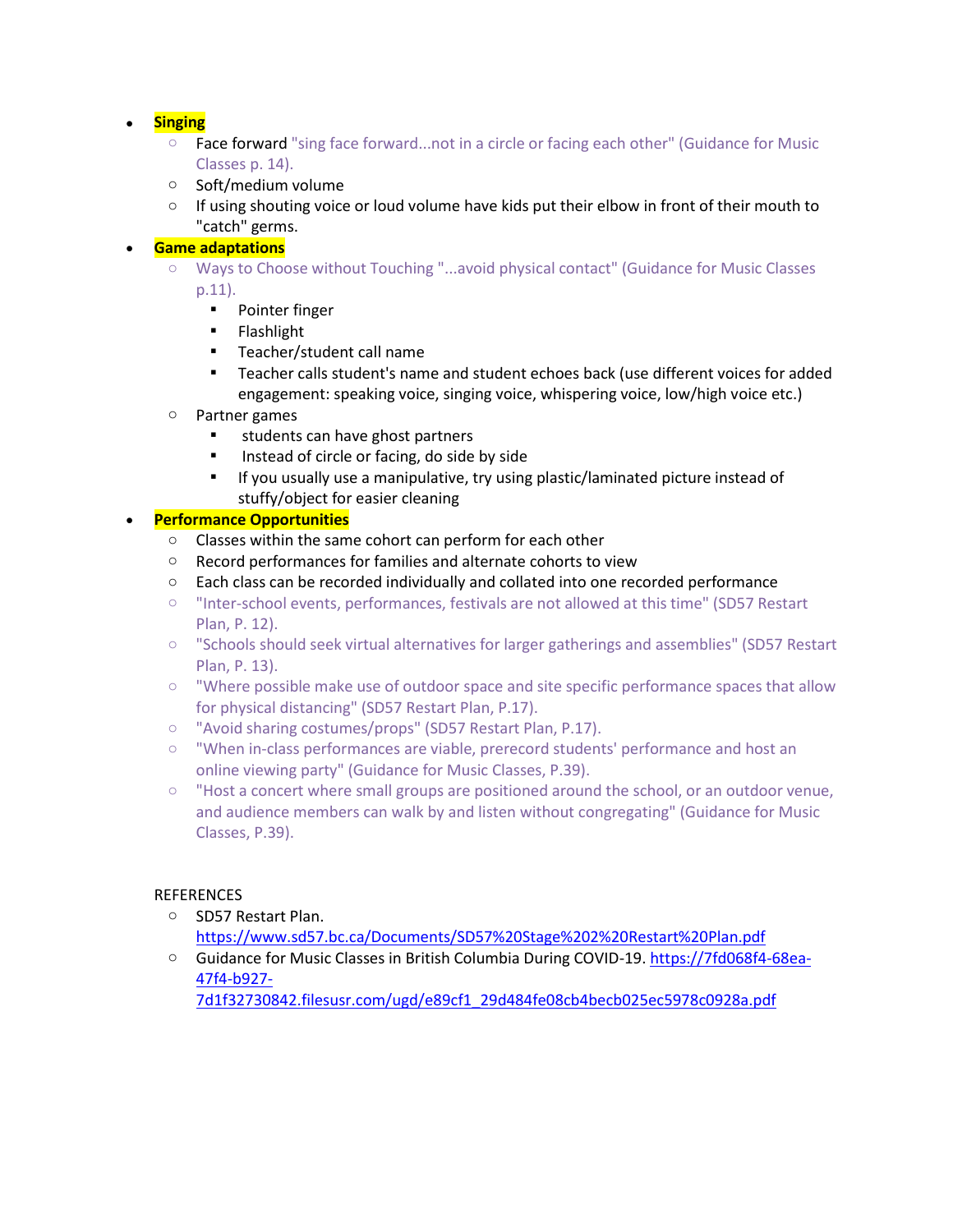## **Singing**

- Face forward "sing face forward...not in a circle or facing each other" (Guidance for Music Classes p. 14).
- o Soft/medium volume
- $\circ$  If using shouting voice or loud volume have kids put their elbow in front of their mouth to "catch" germs.

## **Game adaptations**

- o Ways to Choose without Touching "...avoid physical contact" (Guidance for Music Classes p.11).
	- **•** Pointer finger
	- **Flashlight**
	- **Teacher/student call name**
	- Teacher calls student's name and student echoes back (use different voices for added engagement: speaking voice, singing voice, whispering voice, low/high voice etc.)
- o Partner games
	- students can have ghost partners
	- Instead of circle or facing, do side by side
	- If you usually use a manipulative, try using plastic/laminated picture instead of stuffy/object for easier cleaning

#### **Performance Opportunities**

- o Classes within the same cohort can perform for each other
- o Record performances for families and alternate cohorts to view
- $\circ$  Each class can be recorded individually and collated into one recorded performance
- o "Inter-school events, performances, festivals are not allowed at this time" (SD57 Restart Plan, P. 12).
- o "Schools should seek virtual alternatives for larger gatherings and assemblies" (SD57 Restart Plan, P. 13).
- $\circ$  "Where possible make use of outdoor space and site specific performance spaces that allow for physical distancing" (SD57 Restart Plan, P.17).
- o "Avoid sharing costumes/props" (SD57 Restart Plan, P.17).
- o "When in-class performances are viable, prerecord students' performance and host an online viewing party" (Guidance for Music Classes, P.39).
- $\circ$  "Host a concert where small groups are positioned around the school, or an outdoor venue, and audience members can walk by and listen without congregating" (Guidance for Music Classes, P.39).

#### **REFERENCES**

- o SD57 Restart Plan. <https://www.sd57.bc.ca/Documents/SD57%20Stage%202%20Restart%20Plan.pdf>
- o Guidance for Music Classes in British Columbia During COVID-19[. https://7fd068f4-68ea-](https://7fd068f4-68ea-47f4-b927-7d1f32730842.filesusr.com/ugd/e89cf1_29d484fe08cb4becb025ec5978c0928a.pdf)[47f4-b927-](https://7fd068f4-68ea-47f4-b927-7d1f32730842.filesusr.com/ugd/e89cf1_29d484fe08cb4becb025ec5978c0928a.pdf)

[7d1f32730842.filesusr.com/ugd/e89cf1\\_29d484fe08cb4becb025ec5978c0928a.pdf](https://7fd068f4-68ea-47f4-b927-7d1f32730842.filesusr.com/ugd/e89cf1_29d484fe08cb4becb025ec5978c0928a.pdf)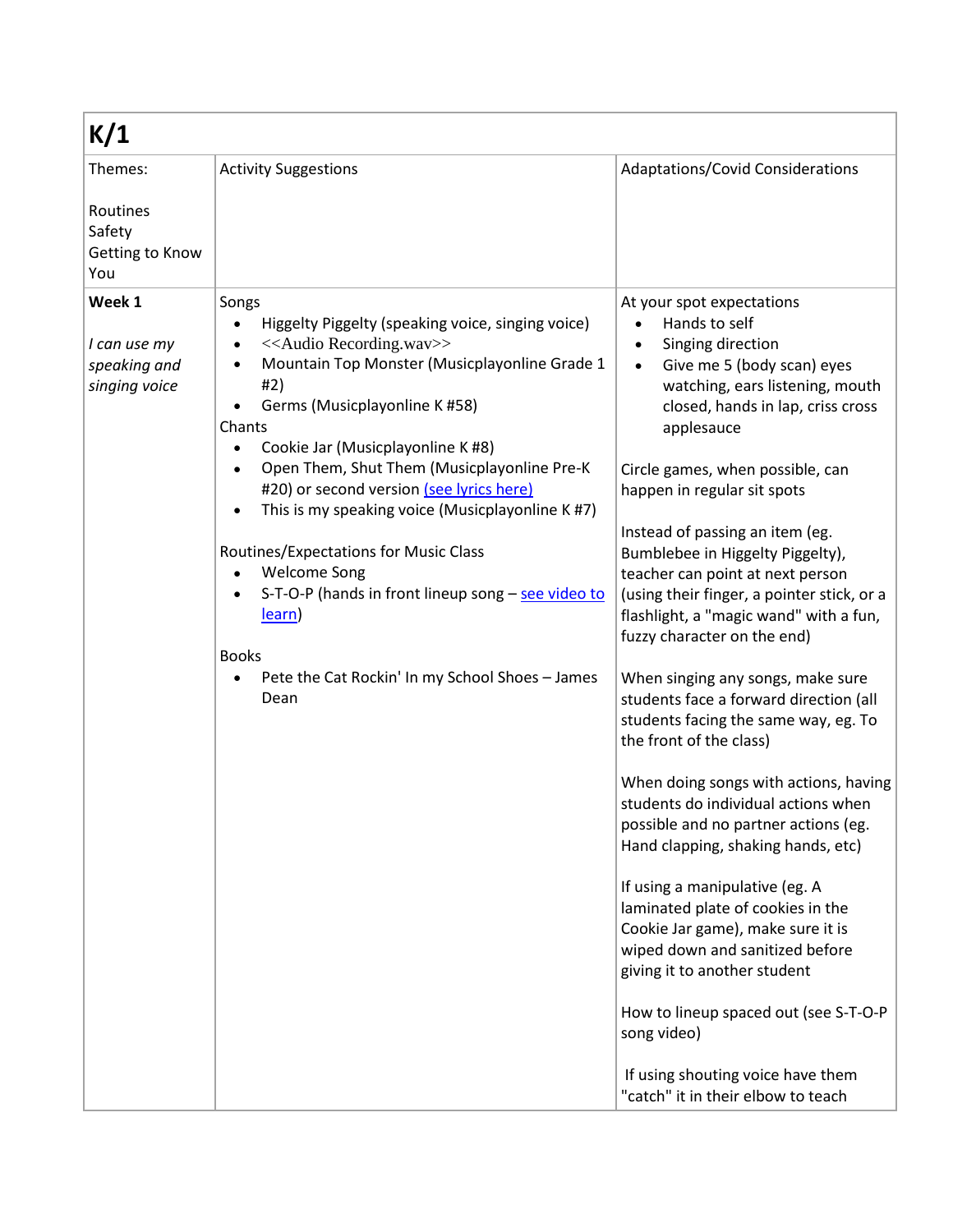| Themes:<br><b>Activity Suggestions</b><br>Adaptations/Covid Considerations<br>Routines<br>Safety<br>Getting to Know<br>You<br>Week 1<br>Songs<br>At your spot expectations<br>Hands to self<br>Higgelty Piggelty (speaking voice, singing voice)<br>$\bullet$<br>< <audio recording.wav="">&gt;<br/>Singing direction<br/>I can use my<br/><math display="inline">\bullet</math><br/><math display="inline">\bullet</math><br/>Mountain Top Monster (Musicplayonline Grade 1<br/>speaking and<br/>Give me 5 (body scan) eyes<br/><math display="inline">\bullet</math><br/>#2)<br/>singing voice</audio>                                                                                                                                                                                                                                                                                                                                                                                | K/1 |                               |                                                                                                                                                                                                                                                                                                                                                                                                                                                      |  |
|-----------------------------------------------------------------------------------------------------------------------------------------------------------------------------------------------------------------------------------------------------------------------------------------------------------------------------------------------------------------------------------------------------------------------------------------------------------------------------------------------------------------------------------------------------------------------------------------------------------------------------------------------------------------------------------------------------------------------------------------------------------------------------------------------------------------------------------------------------------------------------------------------------------------------------------------------------------------------------------------|-----|-------------------------------|------------------------------------------------------------------------------------------------------------------------------------------------------------------------------------------------------------------------------------------------------------------------------------------------------------------------------------------------------------------------------------------------------------------------------------------------------|--|
|                                                                                                                                                                                                                                                                                                                                                                                                                                                                                                                                                                                                                                                                                                                                                                                                                                                                                                                                                                                         |     |                               |                                                                                                                                                                                                                                                                                                                                                                                                                                                      |  |
| Chants<br>applesauce<br>Cookie Jar (Musicplayonline K #8)<br>$\bullet$<br>Open Them, Shut Them (Musicplayonline Pre-K<br>Circle games, when possible, can<br>#20) or second version (see lyrics here)<br>happen in regular sit spots<br>This is my speaking voice (Musicplayonline K #7)<br>Instead of passing an item (eg.<br>Routines/Expectations for Music Class<br>Bumblebee in Higgelty Piggelty),<br><b>Welcome Song</b><br>teacher can point at next person<br>S-T-O-P (hands in front lineup song - see video to<br>learn)<br>fuzzy character on the end)<br><b>Books</b><br>Pete the Cat Rockin' In my School Shoes - James<br>Dean<br>the front of the class)<br>Hand clapping, shaking hands, etc)<br>If using a manipulative (eg. A<br>laminated plate of cookies in the<br>Cookie Jar game), make sure it is<br>wiped down and sanitized before<br>giving it to another student<br>song video)<br>If using shouting voice have them<br>"catch" it in their elbow to teach |     | Germs (Musicplayonline K #58) | watching, ears listening, mouth<br>closed, hands in lap, criss cross<br>(using their finger, a pointer stick, or a<br>flashlight, a "magic wand" with a fun,<br>When singing any songs, make sure<br>students face a forward direction (all<br>students facing the same way, eg. To<br>When doing songs with actions, having<br>students do individual actions when<br>possible and no partner actions (eg.<br>How to lineup spaced out (see S-T-O-P |  |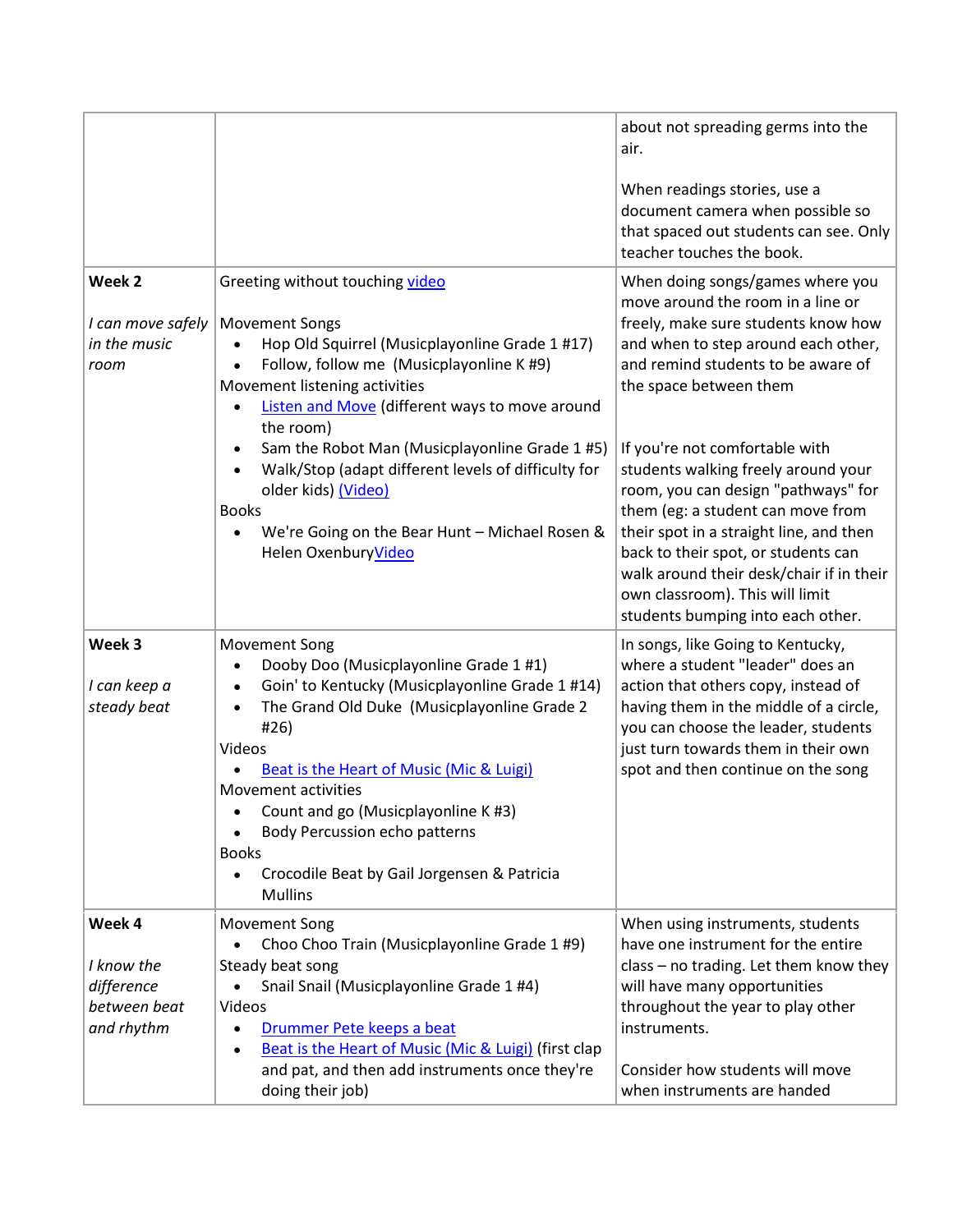|                                                                  |                                                                                                                                                                                                                                                                                                                                                                                                                                          | about not spreading germs into the<br>air.                                                                                                                                                                                                                                                                                                              |
|------------------------------------------------------------------|------------------------------------------------------------------------------------------------------------------------------------------------------------------------------------------------------------------------------------------------------------------------------------------------------------------------------------------------------------------------------------------------------------------------------------------|---------------------------------------------------------------------------------------------------------------------------------------------------------------------------------------------------------------------------------------------------------------------------------------------------------------------------------------------------------|
|                                                                  |                                                                                                                                                                                                                                                                                                                                                                                                                                          | When readings stories, use a<br>document camera when possible so<br>that spaced out students can see. Only<br>teacher touches the book.                                                                                                                                                                                                                 |
| Week 2<br>I can move safely<br>in the music<br>room              | Greeting without touching video<br><b>Movement Songs</b><br>Hop Old Squirrel (Musicplayonline Grade 1 #17)<br>Follow, follow me (Musicplayonline K #9)<br>Movement listening activities<br><b>Listen and Move (different ways to move around</b><br>the room)                                                                                                                                                                            | When doing songs/games where you<br>move around the room in a line or<br>freely, make sure students know how<br>and when to step around each other,<br>and remind students to be aware of<br>the space between them                                                                                                                                     |
|                                                                  | Sam the Robot Man (Musicplayonline Grade 1 #5)<br>Walk/Stop (adapt different levels of difficulty for<br>$\bullet$<br>older kids) (Video)<br><b>Books</b><br>We're Going on the Bear Hunt - Michael Rosen &<br>Helen OxenburyVideo                                                                                                                                                                                                       | If you're not comfortable with<br>students walking freely around your<br>room, you can design "pathways" for<br>them (eg: a student can move from<br>their spot in a straight line, and then<br>back to their spot, or students can<br>walk around their desk/chair if in their<br>own classroom). This will limit<br>students bumping into each other. |
| Week 3<br>I can keep a<br>steady beat                            | <b>Movement Song</b><br>Dooby Doo (Musicplayonline Grade 1 #1)<br>Goin' to Kentucky (Musicplayonline Grade 1 #14)<br>$\bullet$<br>The Grand Old Duke (Musicplayonline Grade 2<br>$\bullet$<br>#26)<br>Videos<br>Beat is the Heart of Music (Mic & Luigi)<br>Movement activities<br>Count and go (Musicplayonline K #3)<br>Body Percussion echo patterns<br><b>Books</b><br>Crocodile Beat by Gail Jorgensen & Patricia<br><b>Mullins</b> | In songs, like Going to Kentucky,<br>where a student "leader" does an<br>action that others copy, instead of<br>having them in the middle of a circle,<br>you can choose the leader, students<br>just turn towards them in their own<br>spot and then continue on the song                                                                              |
| Week 4<br>I know the<br>difference<br>between beat<br>and rhythm | <b>Movement Song</b><br>Choo Choo Train (Musicplayonline Grade 1 #9)<br>Steady beat song<br>Snail Snail (Musicplayonline Grade 1 #4)<br>Videos<br>Drummer Pete keeps a beat<br>$\bullet$<br>Beat is the Heart of Music (Mic & Luigi) (first clap<br>٠<br>and pat, and then add instruments once they're<br>doing their job)                                                                                                              | When using instruments, students<br>have one instrument for the entire<br>class - no trading. Let them know they<br>will have many opportunities<br>throughout the year to play other<br>instruments.<br>Consider how students will move<br>when instruments are handed                                                                                 |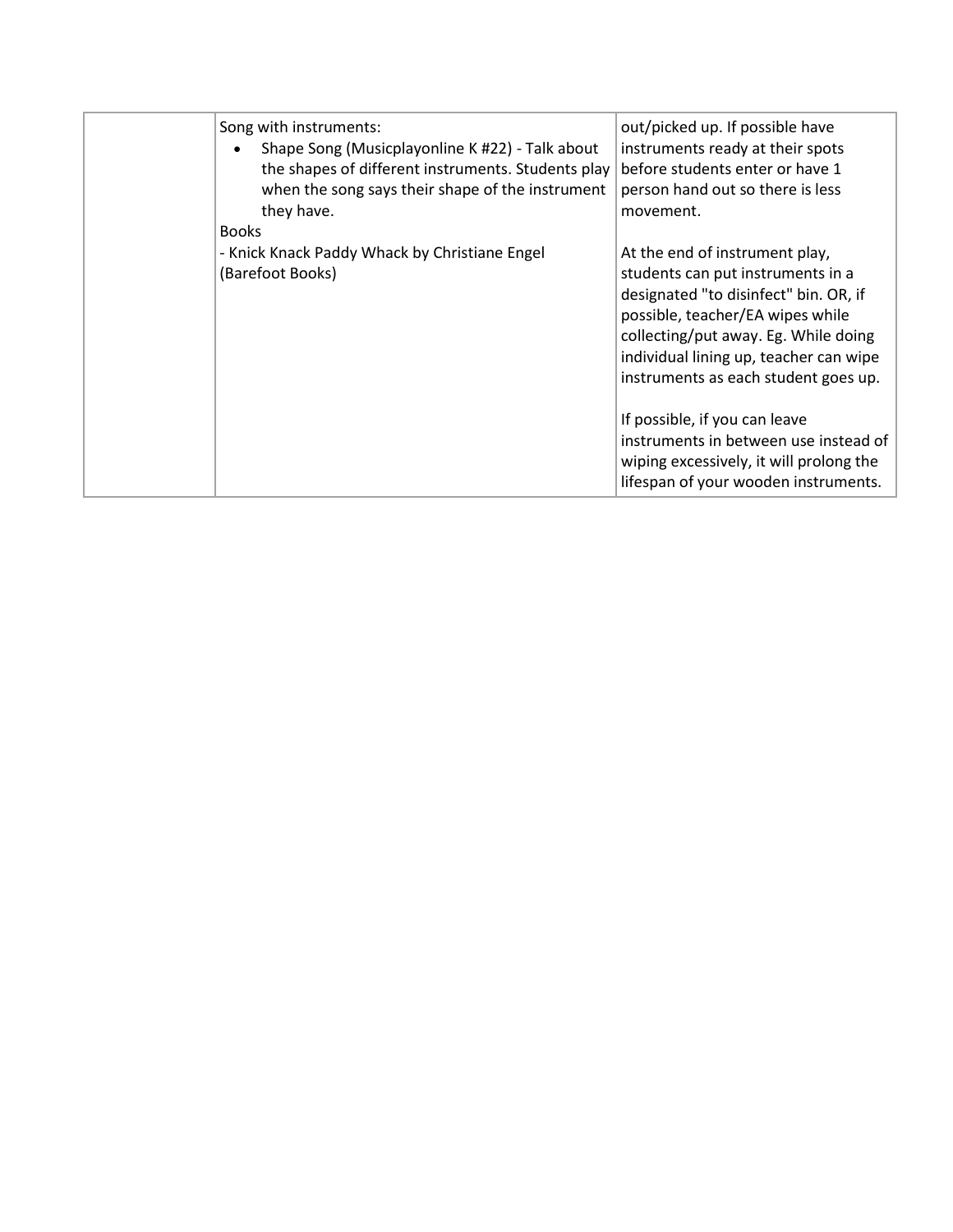| Song with instruments:<br>Shape Song (Musicplayonline K #22) - Talk about<br>$\bullet$<br>the shapes of different instruments. Students play<br>when the song says their shape of the instrument<br>they have.<br><b>Books</b> | out/picked up. If possible have<br>instruments ready at their spots<br>before students enter or have 1<br>person hand out so there is less<br>movement.                                                                                                                    |
|--------------------------------------------------------------------------------------------------------------------------------------------------------------------------------------------------------------------------------|----------------------------------------------------------------------------------------------------------------------------------------------------------------------------------------------------------------------------------------------------------------------------|
| - Knick Knack Paddy Whack by Christiane Engel<br>(Barefoot Books)                                                                                                                                                              | At the end of instrument play,<br>students can put instruments in a<br>designated "to disinfect" bin. OR, if<br>possible, teacher/EA wipes while<br>collecting/put away. Eg. While doing<br>individual lining up, teacher can wipe<br>instruments as each student goes up. |
|                                                                                                                                                                                                                                | If possible, if you can leave<br>instruments in between use instead of<br>wiping excessively, it will prolong the<br>lifespan of your wooden instruments.                                                                                                                  |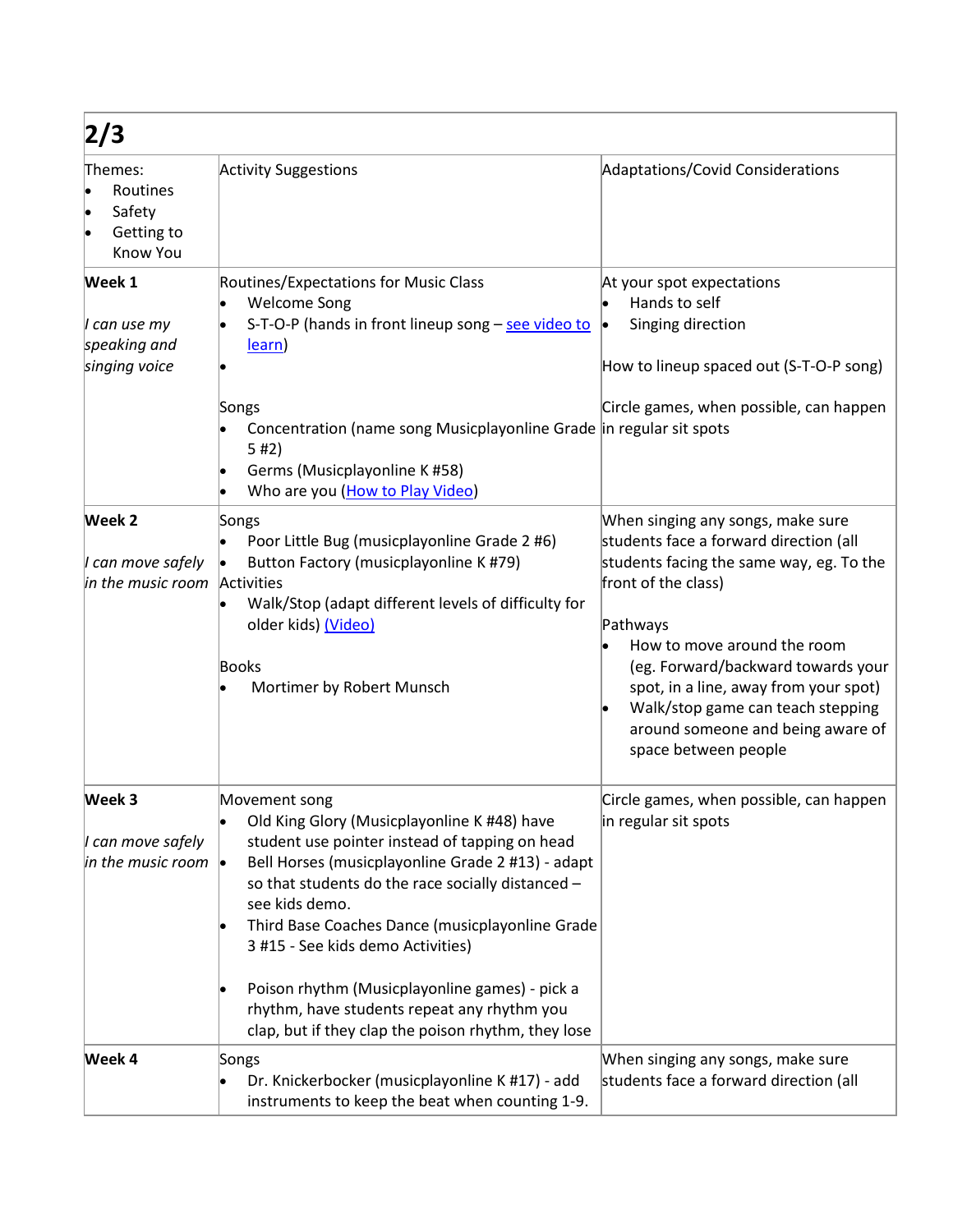| 2/3                                                     |                                                                                                                                                                                                                                                                                                                                                                                                                                                                                            |                                                                                                                                                                                                                                                                                                                                                                            |
|---------------------------------------------------------|--------------------------------------------------------------------------------------------------------------------------------------------------------------------------------------------------------------------------------------------------------------------------------------------------------------------------------------------------------------------------------------------------------------------------------------------------------------------------------------------|----------------------------------------------------------------------------------------------------------------------------------------------------------------------------------------------------------------------------------------------------------------------------------------------------------------------------------------------------------------------------|
| Themes:<br>Routines<br>Safety<br>Getting to<br>Know You | <b>Activity Suggestions</b>                                                                                                                                                                                                                                                                                                                                                                                                                                                                | Adaptations/Covid Considerations                                                                                                                                                                                                                                                                                                                                           |
| Week 1<br>I can use my<br>speaking and<br>singing voice | Routines/Expectations for Music Class<br><b>Welcome Song</b><br>l.<br>S-T-O-P (hands in front lineup song - see video to<br>learn)<br>Songs<br>Concentration (name song Musicplayonline Grade in regular sit spots<br>5#2)<br>Germs (Musicplayonline K #58)<br>lo<br>Who are you (How to Play Video)                                                                                                                                                                                       | At your spot expectations<br>Hands to self<br>Singing direction<br>þ<br>How to lineup spaced out (S-T-O-P song)<br>Circle games, when possible, can happen                                                                                                                                                                                                                 |
| Week 2<br>I can move safely<br>in the music room        | Songs<br>Poor Little Bug (musicplayonline Grade 2 #6)<br>Button Factory (musicplayonline K #79)<br>Activities<br>Walk/Stop (adapt different levels of difficulty for<br>older kids) (Video)<br><b>Books</b><br>Mortimer by Robert Munsch                                                                                                                                                                                                                                                   | When singing any songs, make sure<br>students face a forward direction (all<br>students facing the same way, eg. To the<br>front of the class)<br>Pathways<br>How to move around the room<br>(eg. Forward/backward towards your<br>spot, in a line, away from your spot)<br>Walk/stop game can teach stepping<br>around someone and being aware of<br>space between people |
| Week 3<br>I can move safely<br>in the music room        | Movement song<br>Old King Glory (Musicplayonline K #48) have<br>student use pointer instead of tapping on head<br>Bell Horses (musicplayonline Grade 2 #13) - adapt<br>so that students do the race socially distanced -<br>see kids demo.<br>Third Base Coaches Dance (musicplayonline Grade<br>3 #15 - See kids demo Activities)<br>Poison rhythm (Musicplayonline games) - pick a<br>rhythm, have students repeat any rhythm you<br>clap, but if they clap the poison rhythm, they lose | Circle games, when possible, can happen<br>in regular sit spots                                                                                                                                                                                                                                                                                                            |
| Week 4                                                  | Songs<br>Dr. Knickerbocker (musicplayonline K #17) - add<br>instruments to keep the beat when counting 1-9.                                                                                                                                                                                                                                                                                                                                                                                | When singing any songs, make sure<br>students face a forward direction (all                                                                                                                                                                                                                                                                                                |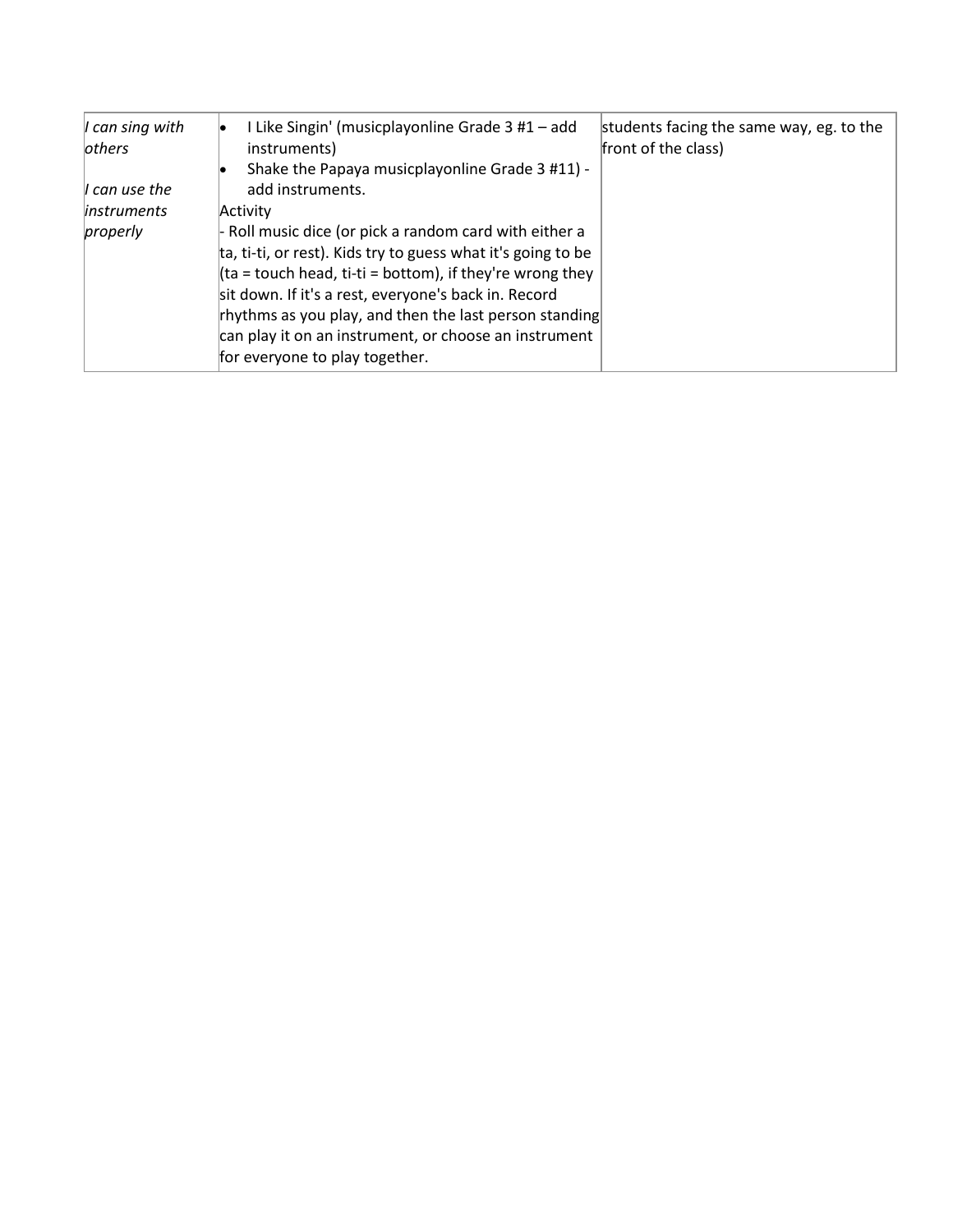| $\vert$ can sing with<br>others | I Like Singin' (musicplayonline Grade 3 #1 – add<br>instruments) | students facing the same way, eg. to the<br>front of the class) |
|---------------------------------|------------------------------------------------------------------|-----------------------------------------------------------------|
|                                 | Shake the Papaya musicplayonline Grade 3 #11) -                  |                                                                 |
| $\mathcal I$ can use the        | add instruments.                                                 |                                                                 |
| <i>linstruments</i>             | Activity                                                         |                                                                 |
| properly                        | - Roll music dice (or pick a random card with either a           |                                                                 |
|                                 | ta, ti-ti, or rest). Kids try to guess what it's going to be     |                                                                 |
|                                 | (ta = touch head, ti-ti = bottom), if they're wrong they         |                                                                 |
|                                 | sit down. If it's a rest, everyone's back in. Record             |                                                                 |
|                                 | rhythms as you play, and then the last person standing           |                                                                 |
|                                 | can play it on an instrument, or choose an instrument            |                                                                 |
|                                 | for everyone to play together.                                   |                                                                 |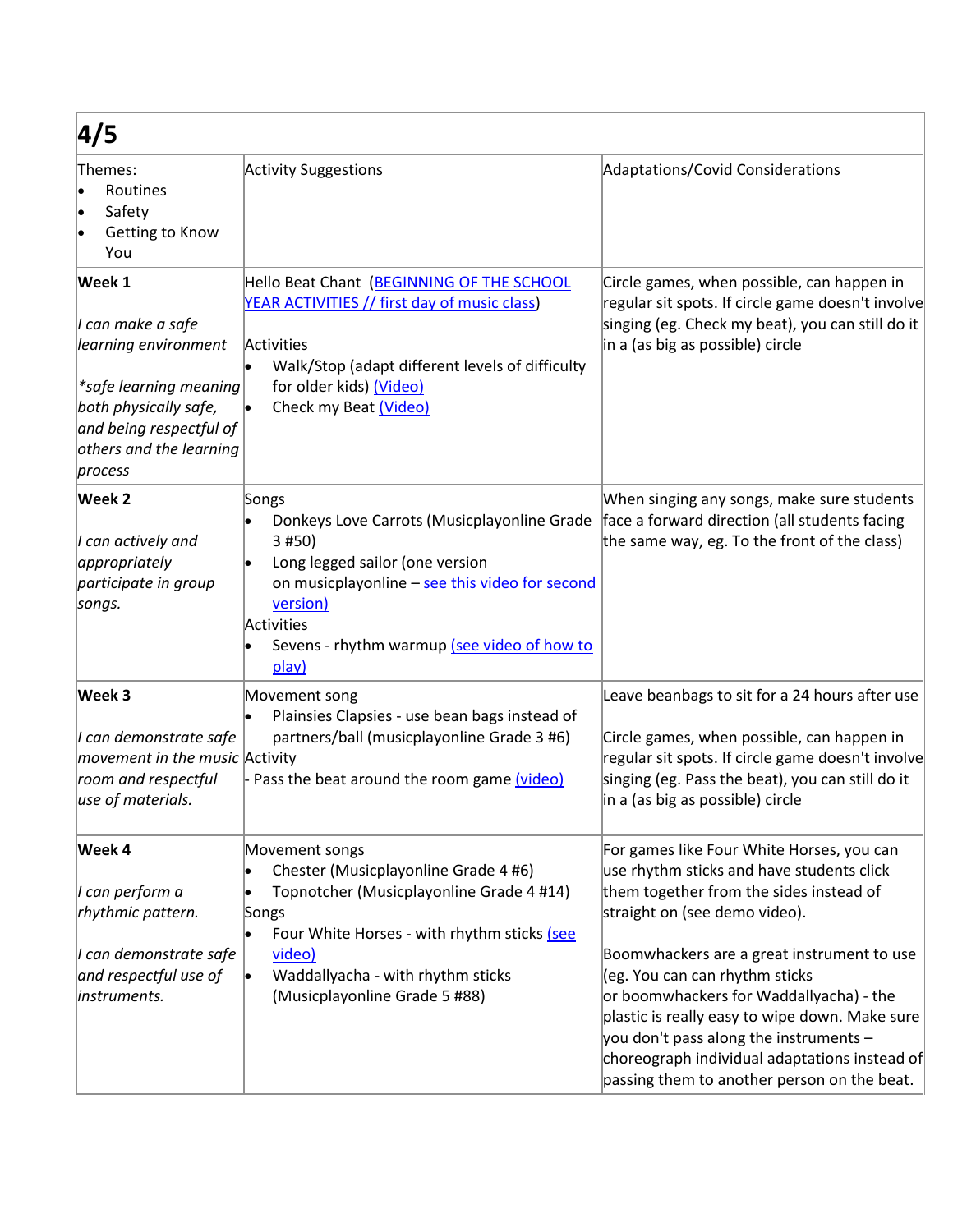| 4/5                                                                                                                                                                     |                                                                                                                                                                                                                                            |                                                                                                                                                                                                                                                                                                                                                                                                                                                                                           |
|-------------------------------------------------------------------------------------------------------------------------------------------------------------------------|--------------------------------------------------------------------------------------------------------------------------------------------------------------------------------------------------------------------------------------------|-------------------------------------------------------------------------------------------------------------------------------------------------------------------------------------------------------------------------------------------------------------------------------------------------------------------------------------------------------------------------------------------------------------------------------------------------------------------------------------------|
| Themes:<br>Routines<br>Safety<br>Getting to Know<br>You                                                                                                                 | <b>Activity Suggestions</b>                                                                                                                                                                                                                | Adaptations/Covid Considerations                                                                                                                                                                                                                                                                                                                                                                                                                                                          |
| Week 1<br>I can make a safe<br>learning environment<br>*safe learning meaning<br>both physically safe,<br>and being respectful of<br>others and the learning<br>process | Hello Beat Chant (BEGINNING OF THE SCHOOL<br>YEAR ACTIVITIES // first day of music class)<br>Activities<br>Walk/Stop (adapt different levels of difficulty<br>for older kids) (Video)<br>Check my Beat (Video)                             | Circle games, when possible, can happen in<br>regular sit spots. If circle game doesn't involve<br>singing (eg. Check my beat), you can still do it<br>in a (as big as possible) circle                                                                                                                                                                                                                                                                                                   |
| Week 2<br>I can actively and<br>appropriately<br>participate in group<br>songs.                                                                                         | Songs<br>Donkeys Love Carrots (Musicplayonline Grade<br>3#50)<br>Long legged sailor (one version<br>on musicplayonline - see this video for second<br>version)<br>Activities<br>Sevens - rhythm warmup (see video of how to<br>play)       | When singing any songs, make sure students<br>face a forward direction (all students facing<br>the same way, eg. To the front of the class)                                                                                                                                                                                                                                                                                                                                               |
| Week 3<br>I can demonstrate safe<br>movement in the music Activity<br>room and respectful<br>use of materials.                                                          | Movement song<br>Plainsies Clapsies - use bean bags instead of<br>partners/ball (musicplayonline Grade 3 #6)<br>Pass the beat around the room game (video)                                                                                 | Leave beanbags to sit for a 24 hours after use<br>Circle games, when possible, can happen in<br>regular sit spots. If circle game doesn't involve<br>singing (eg. Pass the beat), you can still do it<br>in a (as big as possible) circle                                                                                                                                                                                                                                                 |
| Week 4<br>I can perform a<br>rhythmic pattern.<br>I can demonstrate safe<br>and respectful use of<br>instruments.                                                       | Movement songs<br>Chester (Musicplayonline Grade 4 #6)<br>Topnotcher (Musicplayonline Grade 4 #14)<br>Songs<br>Four White Horses - with rhythm sticks (see<br>video)<br>Waddallyacha - with rhythm sticks<br>(Musicplayonline Grade 5 #88) | For games like Four White Horses, you can<br>use rhythm sticks and have students click<br>them together from the sides instead of<br>straight on (see demo video).<br>Boomwhackers are a great instrument to use<br>(eg. You can can rhythm sticks<br>or boomwhackers for Waddallyacha) - the<br>plastic is really easy to wipe down. Make sure<br>you don't pass along the instruments -<br>choreograph individual adaptations instead of<br>passing them to another person on the beat. |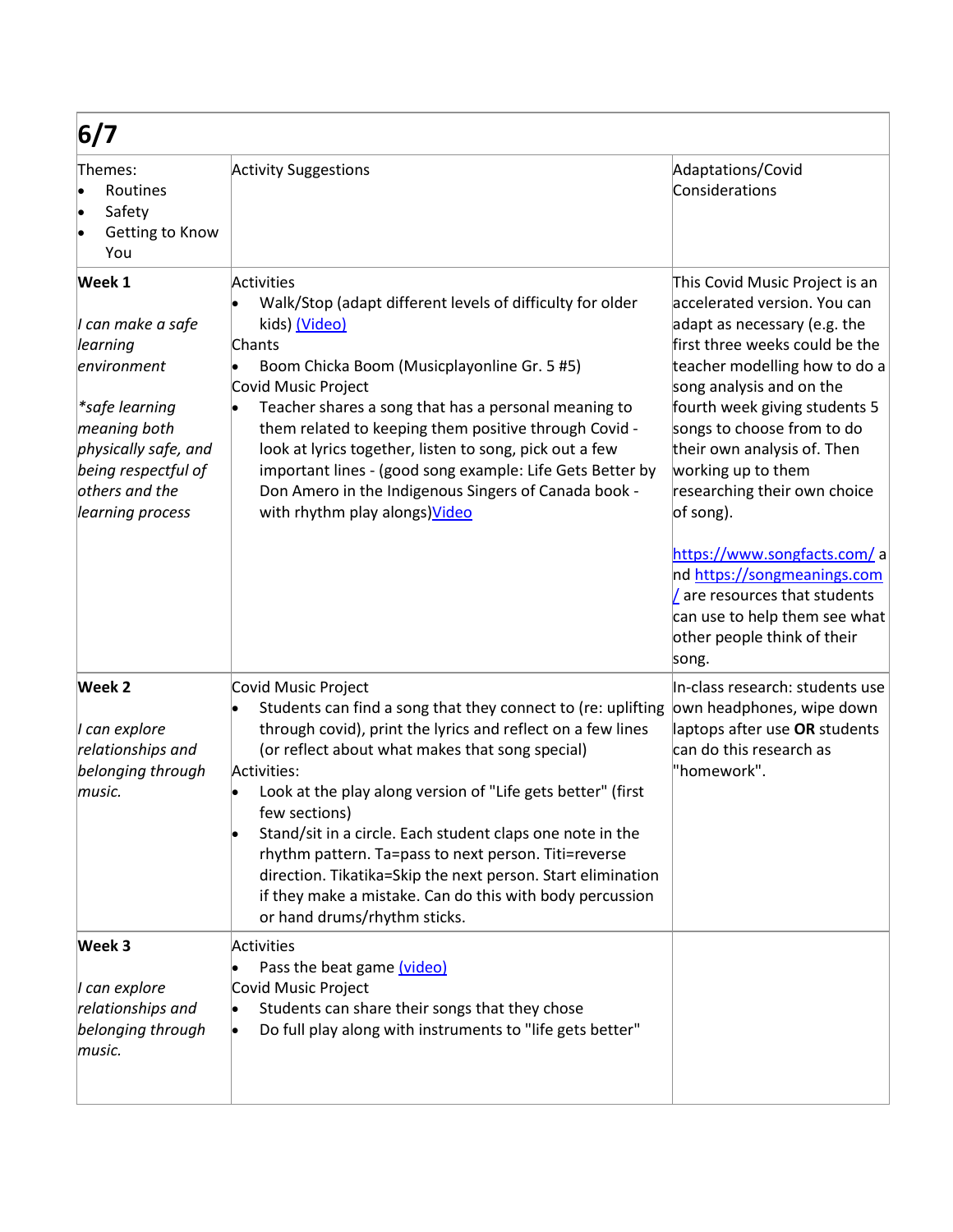| 6/7                                                                                                                                                                           |                                                                                                                                                                                                                                                                                                                                                                                                                                                                                                                                                                                      |                                                                                                                                                                                                                                                                                                                                                                                                                                                                                                                                        |  |
|-------------------------------------------------------------------------------------------------------------------------------------------------------------------------------|--------------------------------------------------------------------------------------------------------------------------------------------------------------------------------------------------------------------------------------------------------------------------------------------------------------------------------------------------------------------------------------------------------------------------------------------------------------------------------------------------------------------------------------------------------------------------------------|----------------------------------------------------------------------------------------------------------------------------------------------------------------------------------------------------------------------------------------------------------------------------------------------------------------------------------------------------------------------------------------------------------------------------------------------------------------------------------------------------------------------------------------|--|
| Themes:<br>Routines<br>Safety<br>Getting to Know<br>You                                                                                                                       | <b>Activity Suggestions</b>                                                                                                                                                                                                                                                                                                                                                                                                                                                                                                                                                          | Adaptations/Covid<br>Considerations                                                                                                                                                                                                                                                                                                                                                                                                                                                                                                    |  |
| Week 1<br>' can make a safe<br>learning<br>environment<br>*safe learning<br>meaning both<br>physically safe, and<br>being respectful of<br>others and the<br>learning process | Activities<br>Walk/Stop (adapt different levels of difficulty for older<br>kids) (Video)<br>Chants<br>Boom Chicka Boom (Musicplayonline Gr. 5 #5)<br>Covid Music Project<br>Teacher shares a song that has a personal meaning to<br>them related to keeping them positive through Covid -<br>look at lyrics together, listen to song, pick out a few<br>important lines - (good song example: Life Gets Better by<br>Don Amero in the Indigenous Singers of Canada book -<br>with rhythm play alongs) Video                                                                          | This Covid Music Project is an<br>accelerated version. You can<br>adapt as necessary (e.g. the<br>first three weeks could be the<br>teacher modelling how to do a<br>song analysis and on the<br>fourth week giving students 5<br>songs to choose from to do<br>their own analysis of. Then<br>working up to them<br>researching their own choice<br>of song).<br>https://www.songfacts.com/a<br>nd https://songmeanings.com<br>/ are resources that students<br>can use to help them see what<br>other people think of their<br>song. |  |
| Week <sub>2</sub><br>I can explore<br>relationships and<br>belonging through<br>music.                                                                                        | Covid Music Project<br>Students can find a song that they connect to (re: uplifting<br>through covid), print the lyrics and reflect on a few lines<br>(or reflect about what makes that song special)<br>Activities:<br>Look at the play along version of "Life gets better" (first<br>few sections)<br>Stand/sit in a circle. Each student claps one note in the<br>rhythm pattern. Ta=pass to next person. Titi=reverse<br>direction. Tikatika=Skip the next person. Start elimination<br>if they make a mistake. Can do this with body percussion<br>or hand drums/rhythm sticks. | In-class research: students use<br>own headphones, wipe down<br>laptops after use OR students<br>can do this research as<br>"homework".                                                                                                                                                                                                                                                                                                                                                                                                |  |
| Week 3<br>I can explore<br>relationships and<br>belonging through<br>music.                                                                                                   | Activities<br>Pass the beat game (video)<br>Covid Music Project<br>Students can share their songs that they chose<br>Do full play along with instruments to "life gets better"                                                                                                                                                                                                                                                                                                                                                                                                       |                                                                                                                                                                                                                                                                                                                                                                                                                                                                                                                                        |  |